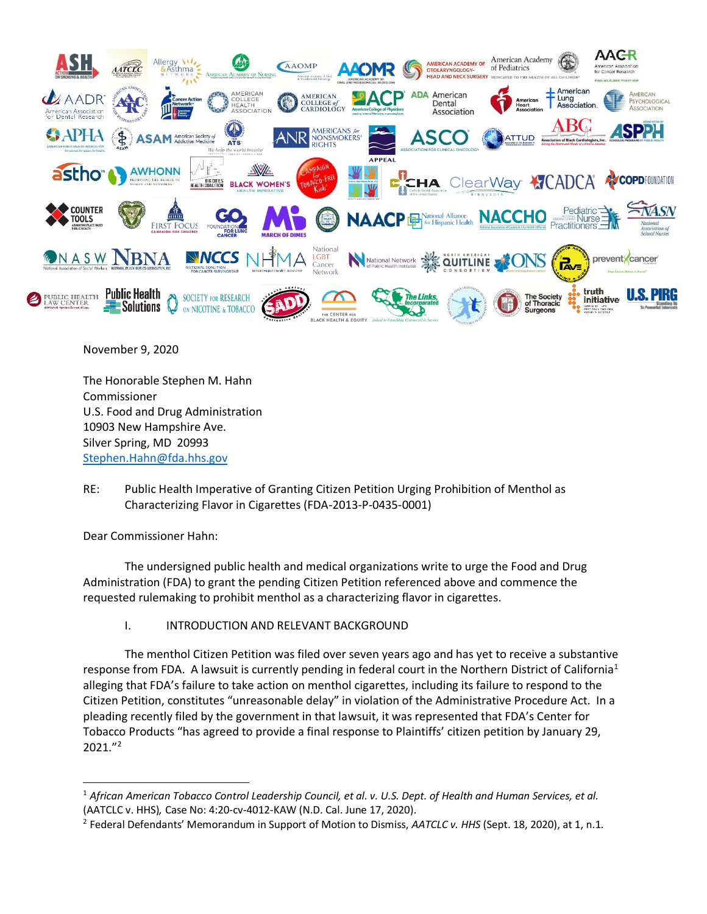

November 9, 2020

The Honorable Stephen M. Hahn Commissioner U.S. Food and Drug Administration 10903 New Hampshire Ave. Silver Spring, MD 20993 [Stephen.Hahn@fda.hhs.gov](mailto:Stephen.Hahn@fda.hhs.gov)

RE: Public Health Imperative of Granting Citizen Petition Urging Prohibition of Menthol as Characterizing Flavor in Cigarettes (FDA-2013-P-0435-0001)

Dear Commissioner Hahn:

The undersigned public health and medical organizations write to urge the Food and Drug Administration (FDA) to grant the pending Citizen Petition referenced above and commence the requested rulemaking to prohibit menthol as a characterizing flavor in cigarettes.

I. INTRODUCTION AND RELEVANT BACKGROUND

The menthol Citizen Petition was filed over seven years ago and has yet to receive a substantive response from FDA. A lawsuit is currently pending in federal court in the Northern District of California<sup>1</sup> alleging that FDA's failure to take action on menthol cigarettes, including its failure to respond to the Citizen Petition, constitutes "unreasonable delay" in violation of the Administrative Procedure Act. In a pleading recently filed by the government in that lawsuit, it was represented that FDA's Center for Tobacco Products "has agreed to provide a final response to Plaintiffs' citizen petition by January 29,  $2021."$ 

<sup>1</sup> *African American Tobacco Control Leadership Council, et al. v. U.S. Dept. of Health and Human Services, et al.*  (AATCLC v. HHS)*,* Case No: 4:20-cv-4012-KAW (N.D. Cal. June 17, 2020).

<sup>2</sup> Federal Defendants' Memorandum in Support of Motion to Dismiss, *AATCLC v. HHS* (Sept. 18, 2020), at 1, n.1.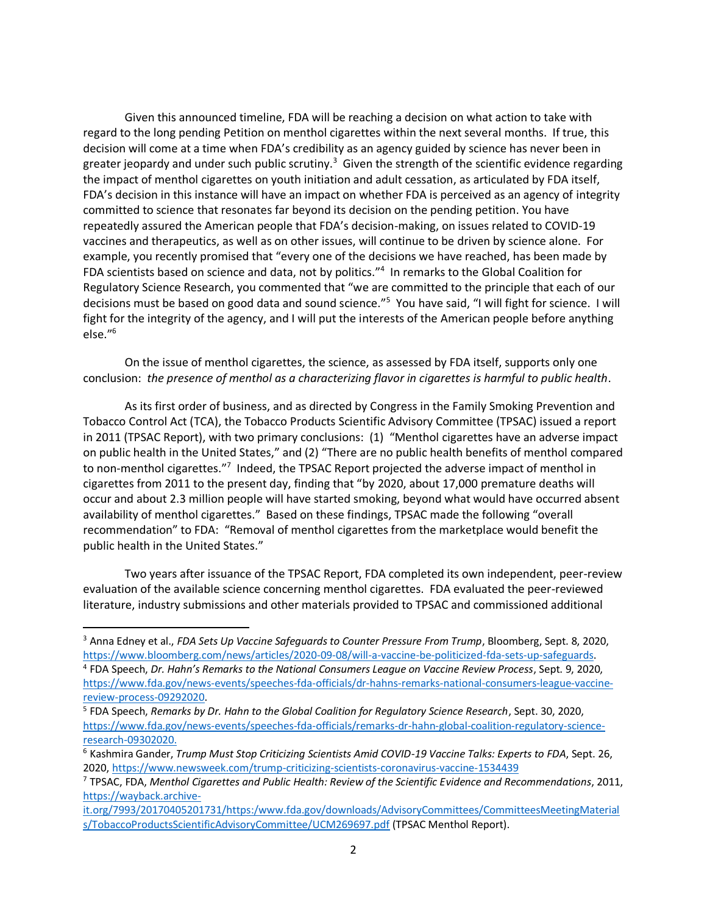Given this announced timeline, FDA will be reaching a decision on what action to take with regard to the long pending Petition on menthol cigarettes within the next several months. If true, this decision will come at a time when FDA's credibility as an agency guided by science has never been in greater jeopardy and under such public scrutiny.<sup>3</sup> Given the strength of the scientific evidence regarding the impact of menthol cigarettes on youth initiation and adult cessation, as articulated by FDA itself, FDA's decision in this instance will have an impact on whether FDA is perceived as an agency of integrity committed to science that resonates far beyond its decision on the pending petition. You have repeatedly assured the American people that FDA's decision-making, on issues related to COVID-19 vaccines and therapeutics, as well as on other issues, will continue to be driven by science alone. For example, you recently promised that "every one of the decisions we have reached, has been made by FDA scientists based on science and data, not by politics."<sup>4</sup> In remarks to the Global Coalition for Regulatory Science Research, you commented that "we are committed to the principle that each of our decisions must be based on good data and sound science."<sup>5</sup> You have said, "I will fight for science. I will fight for the integrity of the agency, and I will put the interests of the American people before anything else."<sup>6</sup>

On the issue of menthol cigarettes, the science, as assessed by FDA itself, supports only one conclusion: *the presence of menthol as a characterizing flavor in cigarettes is harmful to public health*.

As its first order of business, and as directed by Congress in the Family Smoking Prevention and Tobacco Control Act (TCA), the Tobacco Products Scientific Advisory Committee (TPSAC) issued a report in 2011 (TPSAC Report), with two primary conclusions: (1) "Menthol cigarettes have an adverse impact on public health in the United States," and (2) "There are no public health benefits of menthol compared to non-menthol cigarettes."<sup>7</sup> Indeed, the TPSAC Report projected the adverse impact of menthol in cigarettes from 2011 to the present day, finding that "by 2020, about 17,000 premature deaths will occur and about 2.3 million people will have started smoking, beyond what would have occurred absent availability of menthol cigarettes." Based on these findings, TPSAC made the following "overall recommendation" to FDA: "Removal of menthol cigarettes from the marketplace would benefit the public health in the United States."

Two years after issuance of the TPSAC Report, FDA completed its own independent, peer-review evaluation of the available science concerning menthol cigarettes. FDA evaluated the peer-reviewed literature, industry submissions and other materials provided to TPSAC and commissioned additional

[it.org/7993/20170405201731/https:/www.fda.gov/downloads/AdvisoryCommittees/CommitteesMeetingMaterial](https://wayback.archive-it.org/7993/20170405201731/https:/www.fda.gov/downloads/AdvisoryCommittees/CommitteesMeetingMaterials/TobaccoProductsScientificAdvisoryCommittee/UCM269697.pdf) [s/TobaccoProductsScientificAdvisoryCommittee/UCM269697.pdf](https://wayback.archive-it.org/7993/20170405201731/https:/www.fda.gov/downloads/AdvisoryCommittees/CommitteesMeetingMaterials/TobaccoProductsScientificAdvisoryCommittee/UCM269697.pdf) (TPSAC Menthol Report).

<sup>&</sup>lt;sup>3</sup> Anna Edney et al., *FDA Sets Up Vaccine Safeguards to Counter Pressure From Trump*, Bloomberg, Sept. 8, 2020, [https://www.bloomberg.com/news/articles/2020-09-08/will-a-vaccine-be-politicized-fda-sets-up-safeguards.](https://www.bloomberg.com/news/articles/2020-09-08/will-a-vaccine-be-politicized-fda-sets-up-safeguards)

<sup>4</sup> FDA Speech, *Dr. Hahn's Remarks to the National Consumers League on Vaccine Review Process*, Sept. 9, 2020, [https://www.fda.gov/news-events/speeches-fda-officials/dr-hahns-remarks-national-consumers-league-vaccine](https://www.fda.gov/news-events/speeches-fda-officials/dr-hahns-remarks-national-consumers-league-vaccine-review-process-09292020)[review-process-09292020.](https://www.fda.gov/news-events/speeches-fda-officials/dr-hahns-remarks-national-consumers-league-vaccine-review-process-09292020)

<sup>5</sup> FDA Speech, *Remarks by Dr. Hahn to the Global Coalition for Regulatory Science Research*, Sept. 30, 2020, [https://www.fda.gov/news-events/speeches-fda-officials/remarks-dr-hahn-global-coalition-regulatory-science](https://www.fda.gov/news-events/speeches-fda-officials/remarks-dr-hahn-global-coalition-regulatory-science-research-09302020)[research-09302020.](https://www.fda.gov/news-events/speeches-fda-officials/remarks-dr-hahn-global-coalition-regulatory-science-research-09302020)

<sup>6</sup> Kashmira Gander, *Trump Must Stop Criticizing Scientists Amid COVID-19 Vaccine Talks: Experts to FDA*, Sept. 26, 2020,<https://www.newsweek.com/trump-criticizing-scientists-coronavirus-vaccine-1534439>

<sup>7</sup> TPSAC, FDA, *Menthol Cigarettes and Public Health: Review of the Scientific Evidence and Recommendations*, 2011, [https://wayback.archive-](https://wayback.archive-it.org/7993/20170405201731/https:/www.fda.gov/downloads/AdvisoryCommittees/CommitteesMeetingMaterials/TobaccoProductsScientificAdvisoryCommittee/UCM269697.pdf)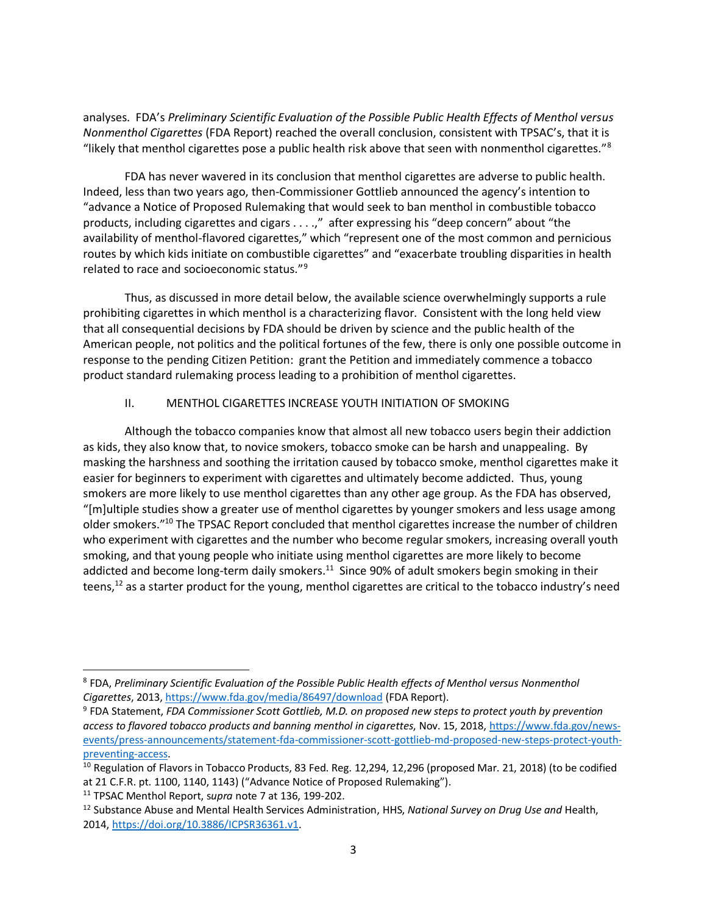analyses. FDA's *Preliminary Scientific Evaluation of the Possible Public Health Effects of Menthol versus Nonmenthol Cigarettes* (FDA Report) reached the overall conclusion, consistent with TPSAC's, that it is "likely that menthol cigarettes pose a public health risk above that seen with nonmenthol cigarettes."<sup>8</sup>

FDA has never wavered in its conclusion that menthol cigarettes are adverse to public health. Indeed, less than two years ago, then-Commissioner Gottlieb announced the agency's intention to "advance a Notice of Proposed Rulemaking that would seek to ban menthol in combustible tobacco products, including cigarettes and cigars . . . .," after expressing his "deep concern" about "the availability of menthol-flavored cigarettes," which "represent one of the most common and pernicious routes by which kids initiate on combustible cigarettes" and "exacerbate troubling disparities in health related to race and socioeconomic status."<sup>9</sup>

Thus, as discussed in more detail below, the available science overwhelmingly supports a rule prohibiting cigarettes in which menthol is a characterizing flavor. Consistent with the long held view that all consequential decisions by FDA should be driven by science and the public health of the American people, not politics and the political fortunes of the few, there is only one possible outcome in response to the pending Citizen Petition: grant the Petition and immediately commence a tobacco product standard rulemaking process leading to a prohibition of menthol cigarettes.

# II. MENTHOL CIGARETTES INCREASE YOUTH INITIATION OF SMOKING

Although the tobacco companies know that almost all new tobacco users begin their addiction as kids, they also know that, to novice smokers, tobacco smoke can be harsh and unappealing. By masking the harshness and soothing the irritation caused by tobacco smoke, menthol cigarettes make it easier for beginners to experiment with cigarettes and ultimately become addicted. Thus, young smokers are more likely to use menthol cigarettes than any other age group. As the FDA has observed, "[m]ultiple studies show a greater use of menthol cigarettes by younger smokers and less usage among older smokers."<sup>10</sup> The TPSAC Report concluded that menthol cigarettes increase the number of children who experiment with cigarettes and the number who become regular smokers, increasing overall youth smoking, and that young people who initiate using menthol cigarettes are more likely to become addicted and become long-term daily smokers.<sup>11</sup> Since 90% of adult smokers begin smoking in their teens,<sup>12</sup> as a starter product for the young, menthol cigarettes are critical to the tobacco industry's need

<sup>8</sup> FDA, *Preliminary Scientific Evaluation of the Possible Public Health effects of Menthol versus Nonmenthol Cigarettes*, 2013[, https://www.fda.gov/media/86497/download](https://www.fda.gov/media/86497/download) (FDA Report).

<sup>9</sup> FDA Statement, *FDA Commissioner Scott Gottlieb, M.D. on proposed new steps to protect youth by prevention access to flavored tobacco products and banning menthol in cigarettes*, Nov. 15, 2018[, https://www.fda.gov/news](https://www.fda.gov/news-events/press-announcements/statement-fda-commissioner-scott-gottlieb-md-proposed-new-steps-protect-youth-preventing-access)[events/press-announcements/statement-fda-commissioner-scott-gottlieb-md-proposed-new-steps-protect-youth](https://www.fda.gov/news-events/press-announcements/statement-fda-commissioner-scott-gottlieb-md-proposed-new-steps-protect-youth-preventing-access)[preventing-access.](https://www.fda.gov/news-events/press-announcements/statement-fda-commissioner-scott-gottlieb-md-proposed-new-steps-protect-youth-preventing-access)

<sup>&</sup>lt;sup>10</sup> Regulation of Flavors in Tobacco Products, 83 Fed. Reg. 12,294, 12,296 (proposed Mar. 21, 2018) (to be codified at 21 C.F.R. pt. 1100, 1140, 1143) ("Advance Notice of Proposed Rulemaking").

<sup>11</sup> TPSAC Menthol Report, s*upra* note 7 at 136, 199-202.

<sup>12</sup> Substance Abuse and Mental Health Services Administration, HHS, *National Survey on Drug Use and* Health, 2014, [https://doi.org/10.3886/ICPSR36361.v1.](https://doi.org/10.3886/ICPSR36361.v1)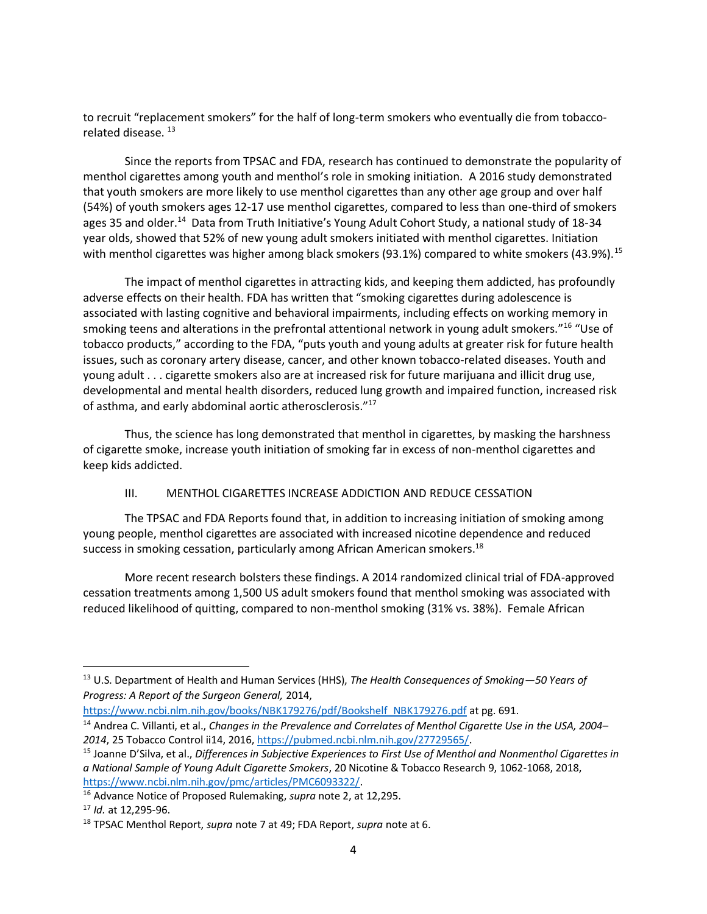to recruit "replacement smokers" for the half of long-term smokers who eventually die from tobaccorelated disease.<sup>13</sup>

Since the reports from TPSAC and FDA, research has continued to demonstrate the popularity of menthol cigarettes among youth and menthol's role in smoking initiation. A 2016 study demonstrated that youth smokers are more likely to use menthol cigarettes than any other age group and over half (54%) of youth smokers ages 12-17 use menthol cigarettes, compared to less than one-third of smokers ages 35 and older.<sup>14</sup> Data from Truth Initiative's Young Adult Cohort Study, a national study of 18-34 year olds, showed that 52% of new young adult smokers initiated with menthol cigarettes. Initiation with menthol cigarettes was higher among black smokers (93.1%) compared to white smokers (43.9%).  $^{15}$ 

The impact of menthol cigarettes in attracting kids, and keeping them addicted, has profoundly adverse effects on their health. FDA has written that "smoking cigarettes during adolescence is associated with lasting cognitive and behavioral impairments, including effects on working memory in smoking teens and alterations in the prefrontal attentional network in young adult smokers."<sup>16</sup> "Use of tobacco products," according to the FDA, "puts youth and young adults at greater risk for future health issues, such as coronary artery disease, cancer, and other known tobacco-related diseases. Youth and young adult . . . cigarette smokers also are at increased risk for future marijuana and illicit drug use, developmental and mental health disorders, reduced lung growth and impaired function, increased risk of asthma, and early abdominal aortic atherosclerosis."<sup>17</sup>

Thus, the science has long demonstrated that menthol in cigarettes, by masking the harshness of cigarette smoke, increase youth initiation of smoking far in excess of non-menthol cigarettes and keep kids addicted.

### III. MENTHOL CIGARETTES INCREASE ADDICTION AND REDUCE CESSATION

The TPSAC and FDA Reports found that, in addition to increasing initiation of smoking among young people, menthol cigarettes are associated with increased nicotine dependence and reduced success in smoking cessation, particularly among African American smokers.<sup>18</sup>

More recent research bolsters these findings. A 2014 randomized clinical trial of FDA-approved cessation treatments among 1,500 US adult smokers found that menthol smoking was associated with reduced likelihood of quitting, compared to non-menthol smoking (31% vs. 38%). Female African

[https://www.ncbi.nlm.nih.gov/books/NBK179276/pdf/Bookshelf\\_NBK179276.pdf](https://www.ncbi.nlm.nih.gov/books/NBK179276/pdf/Bookshelf_NBK179276.pdf) at pg. 691.

<sup>13</sup> U.S. Department of Health and Human Services (HHS), *The Health Consequences of Smoking—50 Years of Progress: A Report of the Surgeon General,* 2014,

<sup>14</sup> Andrea C. Villanti, et al., *Changes in the Prevalence and Correlates of Menthol Cigarette Use in the USA, 2004– 2014*, 25 Tobacco Control ii14, 2016[, https://pubmed.ncbi.nlm.nih.gov/27729565/.](https://pubmed.ncbi.nlm.nih.gov/27729565/)

<sup>15</sup> Joanne D'Silva, et al., *Differences in Subjective Experiences to First Use of Menthol and Nonmenthol Cigarettes in a National Sample of Young Adult Cigarette Smokers*, 20 Nicotine & Tobacco Research 9, 1062-1068, 2018, [https://www.ncbi.nlm.nih.gov/pmc/articles/PMC6093322/.](https://www.ncbi.nlm.nih.gov/pmc/articles/PMC6093322/)

<sup>16</sup> Advance Notice of Proposed Rulemaking, *supra* note 2, at 12,295.

<sup>17</sup> *Id.* at 12,295-96.

<sup>18</sup> TPSAC Menthol Report, *supra* note 7 at 49; FDA Report, *supra* note at 6.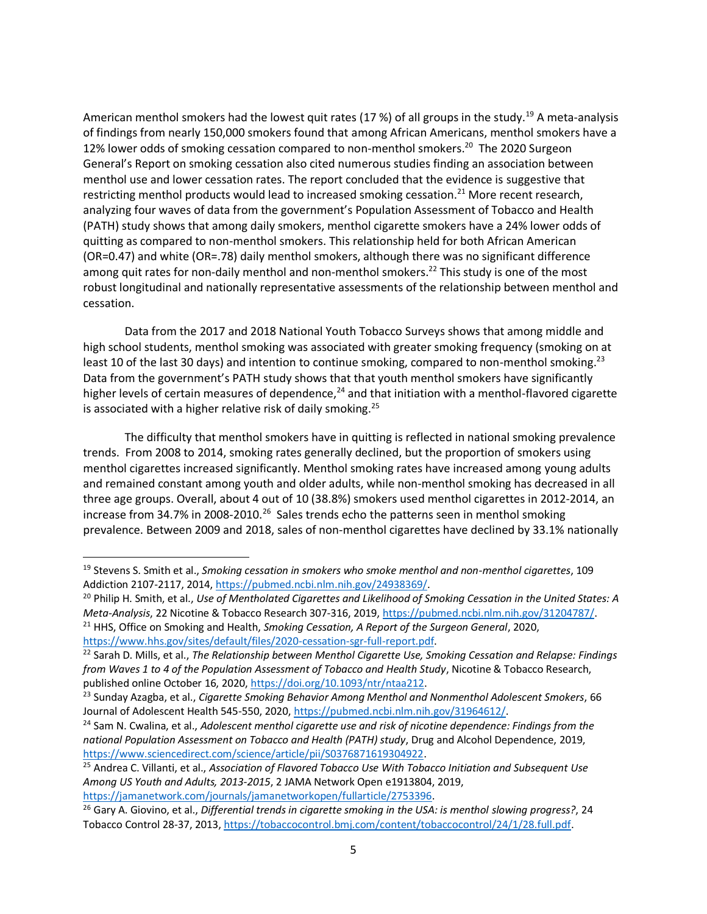American menthol smokers had the lowest quit rates (17 %) of all groups in the study.<sup>19</sup> A meta-analysis of findings from nearly 150,000 smokers found that among African Americans, menthol smokers have a 12% lower odds of smoking cessation compared to non-menthol smokers. <sup>20</sup> The 2020 Surgeon General's Report on smoking cessation also cited numerous studies finding an association between menthol use and lower cessation rates. The report concluded that the evidence is suggestive that restricting menthol products would lead to increased smoking cessation.<sup>21</sup> More recent research, analyzing four waves of data from the government's Population Assessment of Tobacco and Health (PATH) study shows that among daily smokers, menthol cigarette smokers have a 24% lower odds of quitting as compared to non-menthol smokers. This relationship held for both African American (OR=0.47) and white (OR=.78) daily menthol smokers, although there was no significant difference among quit rates for non-daily menthol and non-menthol smokers.<sup>22</sup> This study is one of the most robust longitudinal and nationally representative assessments of the relationship between menthol and cessation.

Data from the 2017 and 2018 National Youth Tobacco Surveys shows that among middle and high school students, menthol smoking was associated with greater smoking frequency (smoking on at least 10 of the last 30 days) and intention to continue smoking, compared to non-menthol smoking.<sup>23</sup> Data from the government's PATH study shows that that youth menthol smokers have significantly higher levels of certain measures of dependence, $24$  and that initiation with a menthol-flavored cigarette is associated with a higher relative risk of daily smoking.<sup>25</sup>

The difficulty that menthol smokers have in quitting is reflected in national smoking prevalence trends. From 2008 to 2014, smoking rates generally declined, but the proportion of smokers using menthol cigarettes increased significantly. Menthol smoking rates have increased among young adults and remained constant among youth and older adults, while non-menthol smoking has decreased in all three age groups. Overall, about 4 out of 10 (38.8%) smokers used menthol cigarettes in 2012-2014, an increase from 34.7% in 2008-2010.<sup>26</sup> Sales trends echo the patterns seen in menthol smoking prevalence. Between 2009 and 2018, sales of non-menthol cigarettes have declined by 33.1% nationally

<sup>19</sup> Stevens S. Smith et al., *Smoking cessation in smokers who smoke menthol and non-menthol cigarettes*, 109 Addiction 2107-2117, 2014[, https://pubmed.ncbi.nlm.nih.gov/24938369/.](https://pubmed.ncbi.nlm.nih.gov/24938369/) 

<sup>20</sup> Philip H. Smith, et al., *Use of Mentholated Cigarettes and Likelihood of Smoking Cessation in the United States: A Meta-Analysis*, 22 Nicotine & Tobacco Research 307-316, 2019[, https://pubmed.ncbi.nlm.nih.gov/31204787/.](https://pubmed.ncbi.nlm.nih.gov/31204787/) <sup>21</sup> HHS, Office on Smoking and Health, *Smoking Cessation, A Report of the Surgeon General*, 2020, [https://www.hhs.gov/sites/default/files/2020-cessation-sgr-full-report.pdf.](https://www.hhs.gov/sites/default/files/2020-cessation-sgr-full-report.pdf)

<sup>22</sup> Sarah D. Mills, et al., *The Relationship between Menthol Cigarette Use, Smoking Cessation and Relapse: Findings from Waves 1 to 4 of the Population Assessment of Tobacco and Health Study*, Nicotine & Tobacco Research, published online October 16, 2020, [https://doi.org/10.1093/ntr/ntaa212.](https://doi.org/10.1093/ntr/ntaa212)

<sup>23</sup> Sunday Azagba, et al., *Cigarette Smoking Behavior Among Menthol and Nonmenthol Adolescent Smokers*, 66 Journal of Adolescent Health 545-550, 2020[, https://pubmed.ncbi.nlm.nih.gov/31964612/.](https://pubmed.ncbi.nlm.nih.gov/31964612/)

<sup>24</sup> Sam N. Cwalina, et al., *Adolescent menthol cigarette use and risk of nicotine dependence: Findings from the national Population Assessment on Tobacco and Health (PATH) study*, Drug and Alcohol Dependence, 2019, [https://www.sciencedirect.com/science/article/pii/S0376871619304922.](https://www.sciencedirect.com/science/article/pii/S0376871619304922)

<sup>25</sup> Andrea C. Villanti, et al., *Association of Flavored Tobacco Use With Tobacco Initiation and Subsequent Use Among US Youth and Adults, 2013-2015*, 2 JAMA Network Open e1913804, 2019, [https://jamanetwork.com/journals/jamanetworkopen/fullarticle/2753396.](https://jamanetwork.com/journals/jamanetworkopen/fullarticle/2753396)

<sup>26</sup> Gary A. Giovino, et al., *Differential trends in cigarette smoking in the USA: is menthol slowing progress?*, 24 Tobacco Control 28-37, 2013, [https://tobaccocontrol.bmj.com/content/tobaccocontrol/24/1/28.full.pdf.](https://tobaccocontrol.bmj.com/content/tobaccocontrol/24/1/28.full.pdf)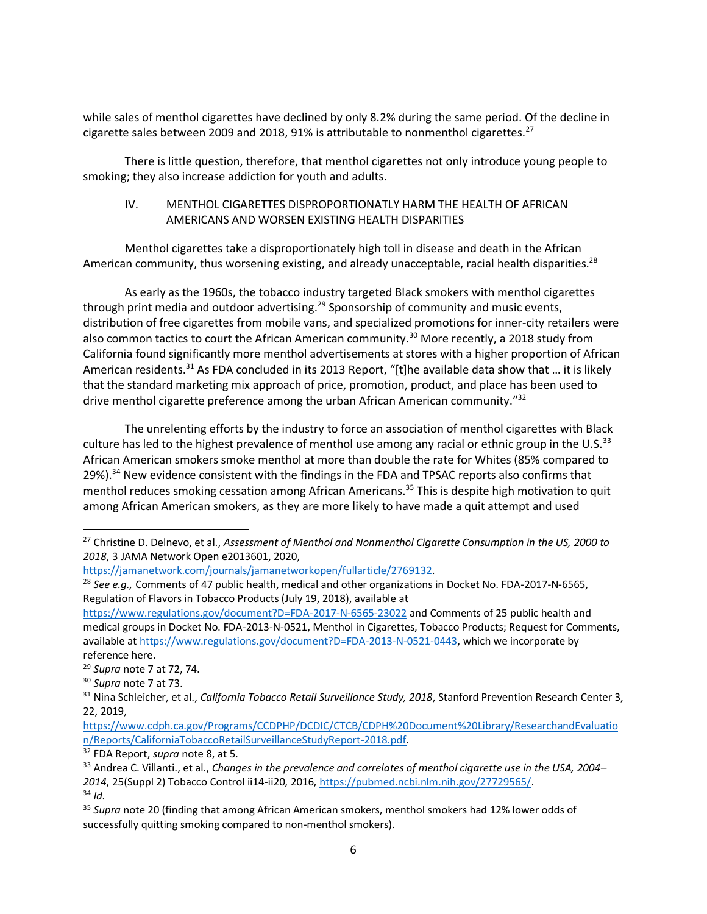while sales of menthol cigarettes have declined by only 8.2% during the same period. Of the decline in cigarette sales between 2009 and 2018, 91% is attributable to nonmenthol cigarettes.<sup>27</sup>

There is little question, therefore, that menthol cigarettes not only introduce young people to smoking; they also increase addiction for youth and adults.

# IV. MENTHOL CIGARETTES DISPROPORTIONATLY HARM THE HEALTH OF AFRICAN AMERICANS AND WORSEN EXISTING HEALTH DISPARITIES

Menthol cigarettes take a disproportionately high toll in disease and death in the African American community, thus worsening existing, and already unacceptable, racial health disparities.<sup>28</sup>

As early as the 1960s, the tobacco industry targeted Black smokers with menthol cigarettes through print media and outdoor advertising.<sup>29</sup> Sponsorship of community and music events, distribution of free cigarettes from mobile vans, and specialized promotions for inner-city retailers were also common tactics to court the African American community.<sup>30</sup> More recently, a 2018 study from California found significantly more menthol advertisements at stores with a higher proportion of African American residents.<sup>31</sup> As FDA concluded in its 2013 Report, "[t]he available data show that ... it is likely that the standard marketing mix approach of price, promotion, product, and place has been used to drive menthol cigarette preference among the urban African American community."<sup>32</sup>

The unrelenting efforts by the industry to force an association of menthol cigarettes with Black culture has led to the highest prevalence of menthol use among any racial or ethnic group in the U.S.<sup>33</sup> African American smokers smoke menthol at more than double the rate for Whites (85% compared to 29%).<sup>34</sup> New evidence consistent with the findings in the FDA and TPSAC reports also confirms that menthol reduces smoking cessation among African Americans.<sup>35</sup> This is despite high motivation to quit among African American smokers, as they are more likely to have made a quit attempt and used

<sup>27</sup> Christine D. Delnevo, et al., *Assessment of Menthol and Nonmenthol Cigarette Consumption in the US, 2000 to 2018*, 3 JAMA Network Open e2013601, 2020,

[https://jamanetwork.com/journals/jamanetworkopen/fullarticle/2769132.](https://jamanetwork.com/journals/jamanetworkopen/fullarticle/2769132)

<sup>28</sup> *See e.g.,* Comments of 47 public health, medical and other organizations in Docket No. FDA-2017-N-6565, Regulation of Flavors in Tobacco Products (July 19, 2018), available at

<https://www.regulations.gov/document?D=FDA-2017-N-6565-23022> and Comments of 25 public health and medical groups in Docket No. FDA-2013-N-0521, Menthol in Cigarettes, Tobacco Products; Request for Comments, available a[t https://www.regulations.gov/document?D=FDA-2013-N-0521-0443,](https://www.regulations.gov/document?D=FDA-2013-N-0521-0443) which we incorporate by reference here.

<sup>29</sup> *Supra* note 7 at 72, 74.

<sup>30</sup> *Supra* note 7 at 73.

<sup>31</sup> Nina Schleicher, et al., *California Tobacco Retail Surveillance Study, 2018*, Stanford Prevention Research Center 3, 22, 2019,

[https://www.cdph.ca.gov/Programs/CCDPHP/DCDIC/CTCB/CDPH%20Document%20Library/ResearchandEvaluatio](https://www.cdph.ca.gov/Programs/CCDPHP/DCDIC/CTCB/CDPH%20Document%20Library/ResearchandEvaluation/Reports/CaliforniaTobaccoRetailSurveillanceStudyReport-2018.pdf) [n/Reports/CaliforniaTobaccoRetailSurveillanceStudyReport-2018.pdf.](https://www.cdph.ca.gov/Programs/CCDPHP/DCDIC/CTCB/CDPH%20Document%20Library/ResearchandEvaluation/Reports/CaliforniaTobaccoRetailSurveillanceStudyReport-2018.pdf)

<sup>32</sup> FDA Report, *supra* note 8, at 5.

<sup>33</sup> Andrea C. Villanti., et al., *Changes in the prevalence and correlates of menthol cigarette use in the USA, 2004– 2014*, 25(Suppl 2) Tobacco Control ii14-ii20, 2016[, https://pubmed.ncbi.nlm.nih.gov/27729565/.](https://pubmed.ncbi.nlm.nih.gov/27729565/) <sup>34</sup> *Id.*

<sup>35</sup> *Supra* note 20 (finding that among African American smokers, menthol smokers had 12% lower odds of successfully quitting smoking compared to non-menthol smokers).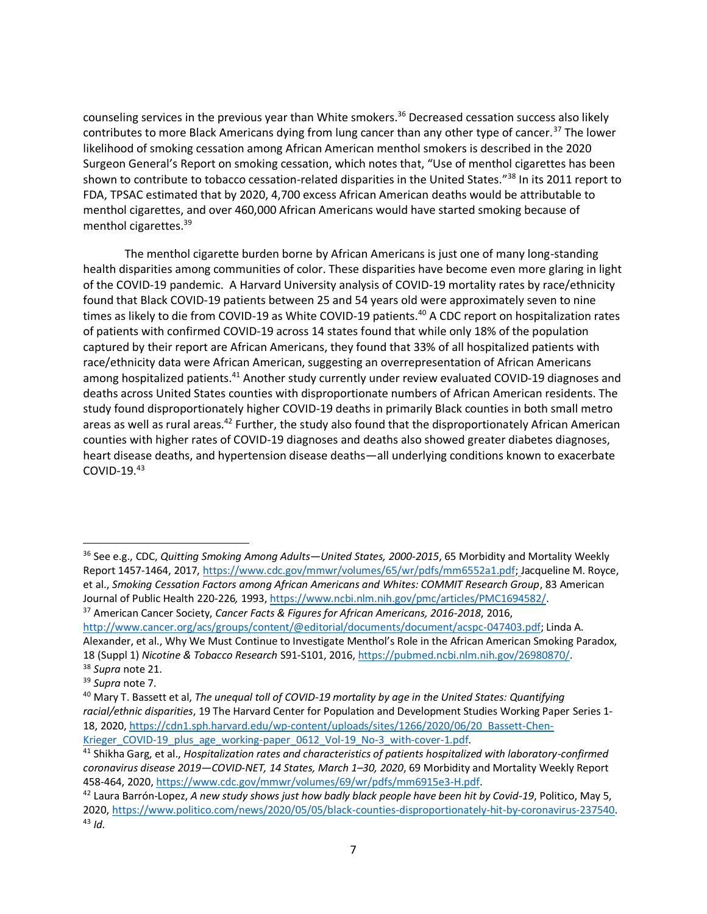counseling services in the previous year than White smokers.<sup>36</sup> Decreased cessation success also likely contributes to more Black Americans dying from lung cancer than any other type of cancer.<sup>37</sup> The lower likelihood of smoking cessation among African American menthol smokers is described in the 2020 Surgeon General's Report on smoking cessation, which notes that, "Use of menthol cigarettes has been shown to contribute to tobacco cessation-related disparities in the United States."<sup>38</sup> In its 2011 report to FDA, TPSAC estimated that by 2020, 4,700 excess African American deaths would be attributable to menthol cigarettes, and over 460,000 African Americans would have started smoking because of menthol cigarettes.<sup>39</sup>

The menthol cigarette burden borne by African Americans is just one of many long-standing health disparities among communities of color. These disparities have become even more glaring in light of the COVID-19 pandemic. A Harvard University analysis of COVID-19 mortality rates by race/ethnicity found that Black COVID-19 patients between 25 and 54 years old were approximately seven to nine times as likely to die from COVID-19 as White COVID-19 patients.<sup>40</sup> A CDC report on hospitalization rates of patients with confirmed COVID-19 across 14 states found that while only 18% of the population captured by their report are African Americans, they found that 33% of all hospitalized patients with race/ethnicity data were African American, suggesting an overrepresentation of African Americans among hospitalized patients.<sup>41</sup> Another study currently under review evaluated COVID-19 diagnoses and deaths across United States counties with disproportionate numbers of African American residents. The study found disproportionately higher COVID-19 deaths in primarily Black counties in both small metro areas as well as rural areas.<sup>42</sup> Further, the study also found that the disproportionately African American counties with higher rates of COVID-19 diagnoses and deaths also showed greater diabetes diagnoses, heart disease deaths, and hypertension disease deaths—all underlying conditions known to exacerbate COVID-19.<sup>43</sup>

<sup>36</sup> See e.g., CDC, *Quitting Smoking Among Adults—United States, 2000-2015*, 65 Morbidity and Mortality Weekly Report 1457-1464, 2017[, https://www.cdc.gov/mmwr/volumes/65/wr/pdfs/mm6552a1.pdf;](https://www.cdc.gov/mmwr/volumes/65/wr/pdfs/mm6552a1.pdf) Jacqueline M. Royce, et al., *Smoking Cessation Factors among African Americans and Whites: COMMIT Research Group*, 83 American Journal of Public Health 220-226*,* 1993[, https://www.ncbi.nlm.nih.gov/pmc/articles/PMC1694582/.](https://www.ncbi.nlm.nih.gov/pmc/articles/PMC1694582/) 

<sup>37</sup> American Cancer Society, *Cancer Facts & Figures for African Americans, 2016-2018*, 2016,

[http://www.cancer.org/acs/groups/content/@editorial/documents/document/acspc-047403.pdf;](http://www.cancer.org/acs/groups/content/@editorial/documents/document/acspc-047403.pdf) Linda A. Alexander, et al., Why We Must Continue to Investigate Menthol's Role in the African American Smoking Paradox, 18 (Suppl 1) *Nicotine & Tobacco Research* S91-S101, 2016, [https://pubmed.ncbi.nlm.nih.gov/26980870/.](https://pubmed.ncbi.nlm.nih.gov/26980870/)

<sup>38</sup> *Supra* note 21.

<sup>39</sup> *Supra* note 7.

<sup>40</sup> Mary T. Bassett et al, *The unequal toll of COVID-19 mortality by age in the United States: Quantifying racial/ethnic disparities*, 19 The Harvard Center for Population and Development Studies Working Paper Series 1- 18, 2020, [https://cdn1.sph.harvard.edu/wp-content/uploads/sites/1266/2020/06/20\\_Bassett-Chen-](https://cdn1.sph.harvard.edu/wp-content/uploads/sites/1266/2020/06/20_Bassett-Chen-Krieger_COVID-19_plus_age_working-paper_0612_Vol-19_No-3_with-cover-1.pdf)Krieger COVID-19 plus age working-paper 0612 Vol-19 No-3 with-cover-1.pdf.

<sup>41</sup> Shikha Garg, et al., *Hospitalization rates and characteristics of patients hospitalized with laboratory-confirmed coronavirus disease 2019—COVID-NET, 14 States, March 1–30, 2020*, 69 Morbidity and Mortality Weekly Report 458-464, 2020[, https://www.cdc.gov/mmwr/volumes/69/wr/pdfs/mm6915e3-H.pdf.](https://www.cdc.gov/mmwr/volumes/69/wr/pdfs/mm6915e3-H.pdf)

<sup>42</sup> Laura Barrón-Lopez, *A new study shows just how badly black people have been hit by Covid-19*, Politico, May 5, 2020, [https://www.politico.com/news/2020/05/05/black-counties-disproportionately-hit-by-coronavirus-237540.](https://www.politico.com/news/2020/05/05/black-counties-disproportionately-hit-by-coronavirus-237540) <sup>43</sup> *Id.*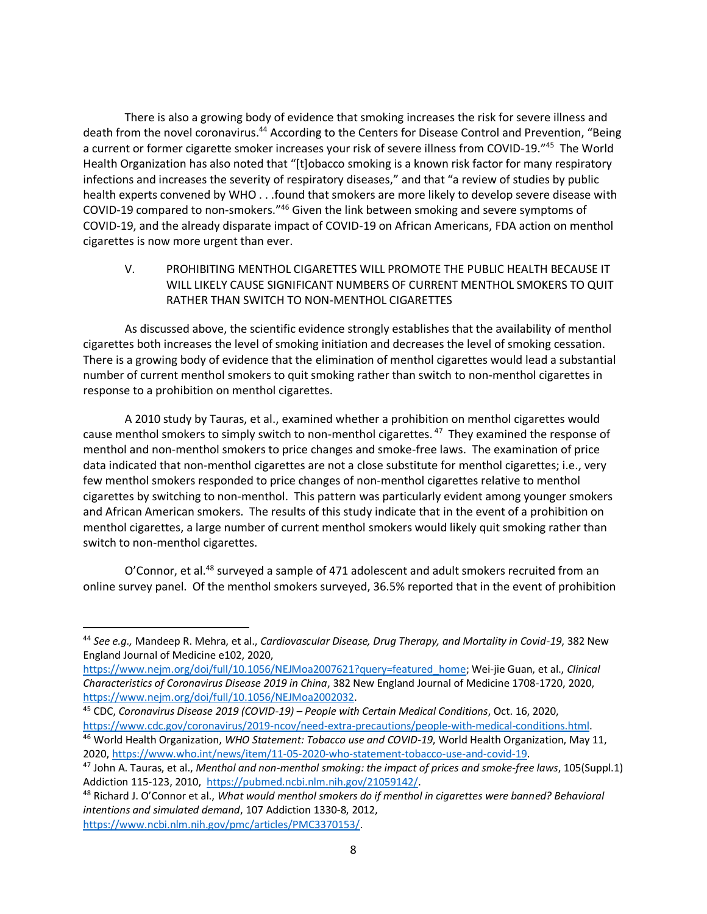There is also a growing body of evidence that smoking increases the risk for severe illness and death from the novel coronavirus.<sup>44</sup> According to the Centers for Disease Control and Prevention, "Being a current or former cigarette smoker increases your risk of severe illness from COVID-19."<sup>45</sup> The World Health Organization has also noted that "[t]obacco smoking is a known risk factor for many respiratory infections and increases the severity of respiratory diseases," and that "a review of studies by public health experts convened by WHO . . .found that smokers are more likely to develop severe disease with COVID-19 compared to non-smokers."<sup>46</sup> Given the link between smoking and severe symptoms of COVID-19, and the already disparate impact of COVID-19 on African Americans, FDA action on menthol cigarettes is now more urgent than ever.

V. PROHIBITING MENTHOL CIGARETTES WILL PROMOTE THE PUBLIC HEALTH BECAUSE IT WILL LIKELY CAUSE SIGNIFICANT NUMBERS OF CURRENT MENTHOL SMOKERS TO QUIT RATHER THAN SWITCH TO NON-MENTHOL CIGARETTES

As discussed above, the scientific evidence strongly establishes that the availability of menthol cigarettes both increases the level of smoking initiation and decreases the level of smoking cessation. There is a growing body of evidence that the elimination of menthol cigarettes would lead a substantial number of current menthol smokers to quit smoking rather than switch to non-menthol cigarettes in response to a prohibition on menthol cigarettes.

A 2010 study by Tauras, et al., examined whether a prohibition on menthol cigarettes would cause menthol smokers to simply switch to non-menthol cigarettes.<sup>47</sup> They examined the response of menthol and non-menthol smokers to price changes and smoke-free laws. The examination of price data indicated that non-menthol cigarettes are not a close substitute for menthol cigarettes; i.e., very few menthol smokers responded to price changes of non-menthol cigarettes relative to menthol cigarettes by switching to non-menthol. This pattern was particularly evident among younger smokers and African American smokers. The results of this study indicate that in the event of a prohibition on menthol cigarettes, a large number of current menthol smokers would likely quit smoking rather than switch to non-menthol cigarettes.

O'Connor, et al.<sup>48</sup> surveyed a sample of 471 adolescent and adult smokers recruited from an online survey panel. Of the menthol smokers surveyed, 36.5% reported that in the event of prohibition

<sup>44</sup> *See e.g.,* Mandeep R. Mehra, et al., *Cardiovascular Disease, Drug Therapy, and Mortality in Covid-19*, 382 New England Journal of Medicine e102, 2020,

[https://www.nejm.org/doi/full/10.1056/NEJMoa2007621?query=featured\\_home;](https://www.nejm.org/doi/full/10.1056/NEJMoa2007621?query=featured_home) Wei-jie Guan, et al., *Clinical Characteristics of Coronavirus Disease 2019 in China*, 382 New England Journal of Medicine 1708-1720, 2020, [https://www.nejm.org/doi/full/10.1056/NEJMoa2002032.](https://www.nejm.org/doi/full/10.1056/NEJMoa2002032)

<sup>45</sup> CDC, *Coronavirus Disease 2019 (COVID-19) – People with Certain Medical Conditions*, Oct. 16, 2020, [https://www.cdc.gov/coronavirus/2019-ncov/need-extra-precautions/people-with-medical-conditions.html.](https://www.cdc.gov/coronavirus/2019-ncov/need-extra-precautions/people-with-medical-conditions.html) <sup>46</sup> World Health Organization, *WHO Statement: Tobacco use and COVID-19*, World Health Organization, May 11, 2020, [https://www.who.int/news/item/11-05-2020-who-statement-tobacco-use-and-covid-19.](https://www.who.int/news/item/11-05-2020-who-statement-tobacco-use-and-covid-19)

<sup>47</sup> John A. Tauras, et al., *Menthol and non-menthol smoking: the impact of prices and smoke-free laws*, 105(Suppl.1) Addiction 115-123, 2010, [https://pubmed.ncbi.nlm.nih.gov/21059142/.](https://pubmed.ncbi.nlm.nih.gov/21059142/) 

<sup>48</sup> Richard J. O'Connor et al., *What would menthol smokers do if menthol in cigarettes were banned? Behavioral intentions and simulated demand*, 107 Addiction 1330-8, 2012, [https://www.ncbi.nlm.nih.gov/pmc/articles/PMC3370153/.](https://www.ncbi.nlm.nih.gov/pmc/articles/PMC3370153/)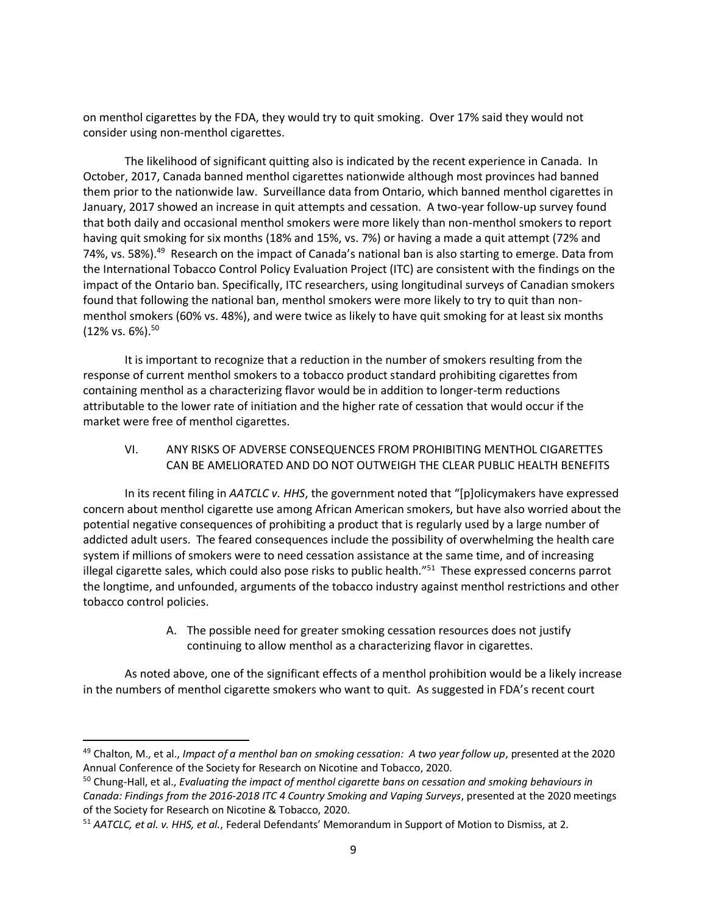on menthol cigarettes by the FDA, they would try to quit smoking. Over 17% said they would not consider using non-menthol cigarettes.

The likelihood of significant quitting also is indicated by the recent experience in Canada. In October, 2017, Canada banned menthol cigarettes nationwide although most provinces had banned them prior to the nationwide law. Surveillance data from Ontario, which banned menthol cigarettes in January, 2017 showed an increase in quit attempts and cessation. A two-year follow-up survey found that both daily and occasional menthol smokers were more likely than non-menthol smokers to report having quit smoking for six months (18% and 15%, vs. 7%) or having a made a quit attempt (72% and 74%, vs. 58%).<sup>49</sup> Research on the impact of Canada's national ban is also starting to emerge. Data from the International Tobacco Control Policy Evaluation Project (ITC) are consistent with the findings on the impact of the Ontario ban. Specifically, ITC researchers, using longitudinal surveys of Canadian smokers found that following the national ban, menthol smokers were more likely to try to quit than nonmenthol smokers (60% vs. 48%), and were twice as likely to have quit smoking for at least six months  $(12\% \text{ vs. } 6\%).^{50}$ 

It is important to recognize that a reduction in the number of smokers resulting from the response of current menthol smokers to a tobacco product standard prohibiting cigarettes from containing menthol as a characterizing flavor would be in addition to longer-term reductions attributable to the lower rate of initiation and the higher rate of cessation that would occur if the market were free of menthol cigarettes.

VI. ANY RISKS OF ADVERSE CONSEQUENCES FROM PROHIBITING MENTHOL CIGARETTES CAN BE AMELIORATED AND DO NOT OUTWEIGH THE CLEAR PUBLIC HEALTH BENEFITS

In its recent filing in *AATCLC v. HHS*, the government noted that "[p]olicymakers have expressed concern about menthol cigarette use among African American smokers, but have also worried about the potential negative consequences of prohibiting a product that is regularly used by a large number of addicted adult users. The feared consequences include the possibility of overwhelming the health care system if millions of smokers were to need cessation assistance at the same time, and of increasing illegal cigarette sales, which could also pose risks to public health."<sup>51</sup> These expressed concerns parrot the longtime, and unfounded, arguments of the tobacco industry against menthol restrictions and other tobacco control policies.

> A. The possible need for greater smoking cessation resources does not justify continuing to allow menthol as a characterizing flavor in cigarettes.

As noted above, one of the significant effects of a menthol prohibition would be a likely increase in the numbers of menthol cigarette smokers who want to quit. As suggested in FDA's recent court

<sup>49</sup> Chalton, M., et al., *Impact of a menthol ban on smoking cessation: A two year follow up*, presented at the 2020 Annual Conference of the Society for Research on Nicotine and Tobacco, 2020.

<sup>50</sup> Chung-Hall, et al., *Evaluating the impact of menthol cigarette bans on cessation and smoking behaviours in Canada: Findings from the 2016-2018 ITC 4 Country Smoking and Vaping Surveys*, presented at the 2020 meetings of the Society for Research on Nicotine & Tobacco, 2020.

<sup>51</sup> *AATCLC, et al. v. HHS, et al.*, Federal Defendants' Memorandum in Support of Motion to Dismiss, at 2.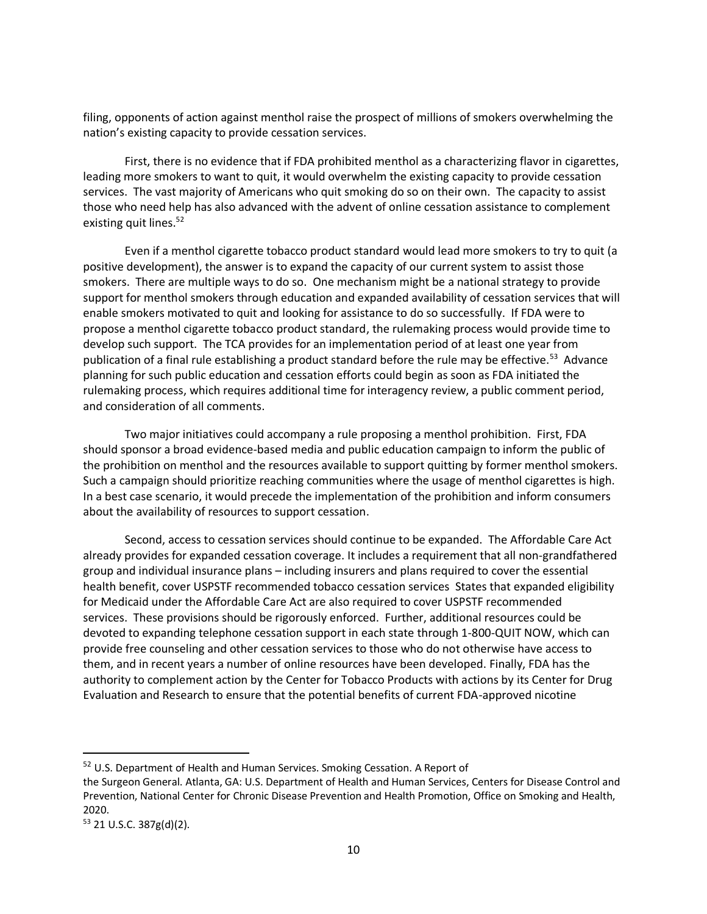filing, opponents of action against menthol raise the prospect of millions of smokers overwhelming the nation's existing capacity to provide cessation services.

First, there is no evidence that if FDA prohibited menthol as a characterizing flavor in cigarettes, leading more smokers to want to quit, it would overwhelm the existing capacity to provide cessation services. The vast majority of Americans who quit smoking do so on their own. The capacity to assist those who need help has also advanced with the advent of online cessation assistance to complement existing quit lines. 52

Even if a menthol cigarette tobacco product standard would lead more smokers to try to quit (a positive development), the answer is to expand the capacity of our current system to assist those smokers. There are multiple ways to do so. One mechanism might be a national strategy to provide support for menthol smokers through education and expanded availability of cessation services that will enable smokers motivated to quit and looking for assistance to do so successfully. If FDA were to propose a menthol cigarette tobacco product standard, the rulemaking process would provide time to develop such support. The TCA provides for an implementation period of at least one year from publication of a final rule establishing a product standard before the rule may be effective.<sup>53</sup> Advance planning for such public education and cessation efforts could begin as soon as FDA initiated the rulemaking process, which requires additional time for interagency review, a public comment period, and consideration of all comments.

Two major initiatives could accompany a rule proposing a menthol prohibition. First, FDA should sponsor a broad evidence-based media and public education campaign to inform the public of the prohibition on menthol and the resources available to support quitting by former menthol smokers. Such a campaign should prioritize reaching communities where the usage of menthol cigarettes is high. In a best case scenario, it would precede the implementation of the prohibition and inform consumers about the availability of resources to support cessation.

Second, access to cessation services should continue to be expanded. The Affordable Care Act already provides for expanded cessation coverage. It includes a requirement that all non-grandfathered group and individual insurance plans – including insurers and plans required to cover the essential health benefit, cover USPSTF recommended tobacco cessation services States that expanded eligibility for Medicaid under the Affordable Care Act are also required to cover USPSTF recommended services. These provisions should be rigorously enforced. Further, additional resources could be devoted to expanding telephone cessation support in each state through 1-800-QUIT NOW, which can provide free counseling and other cessation services to those who do not otherwise have access to them, and in recent years a number of online resources have been developed. Finally, FDA has the authority to complement action by the Center for Tobacco Products with actions by its Center for Drug Evaluation and Research to ensure that the potential benefits of current FDA-approved nicotine

<sup>&</sup>lt;sup>52</sup> U.S. Department of Health and Human Services. Smoking Cessation. A Report of

the Surgeon General. Atlanta, GA: U.S. Department of Health and Human Services, Centers for Disease Control and Prevention, National Center for Chronic Disease Prevention and Health Promotion, Office on Smoking and Health, 2020.

<sup>53</sup> 21 U.S.C. 387g(d)(2).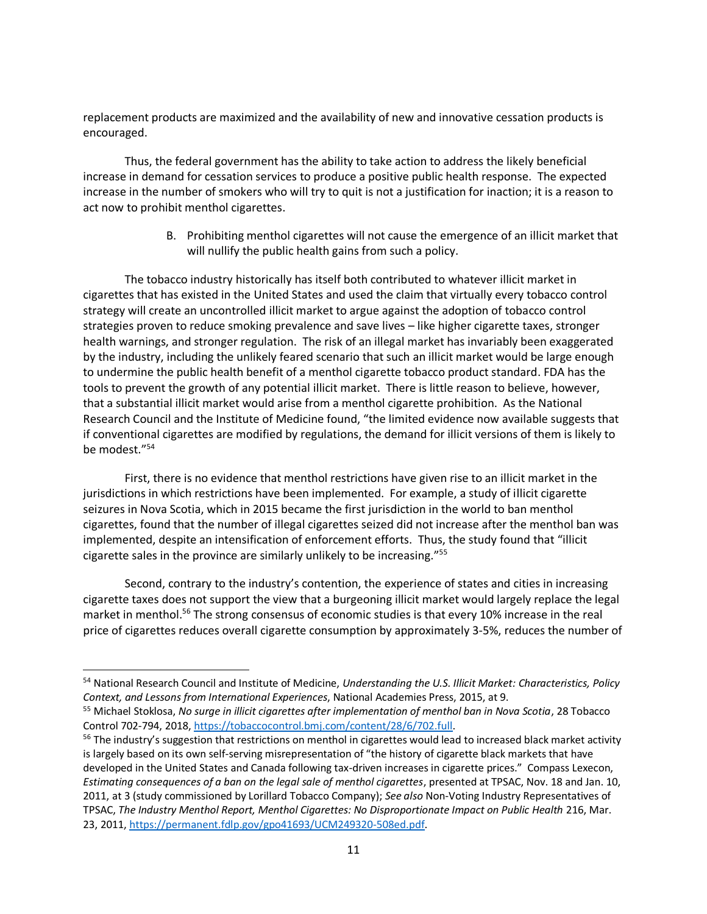replacement products are maximized and the availability of new and innovative cessation products is encouraged.

Thus, the federal government has the ability to take action to address the likely beneficial increase in demand for cessation services to produce a positive public health response. The expected increase in the number of smokers who will try to quit is not a justification for inaction; it is a reason to act now to prohibit menthol cigarettes.

> B. Prohibiting menthol cigarettes will not cause the emergence of an illicit market that will nullify the public health gains from such a policy.

The tobacco industry historically has itself both contributed to whatever illicit market in cigarettes that has existed in the United States and used the claim that virtually every tobacco control strategy will create an uncontrolled illicit market to argue against the adoption of tobacco control strategies proven to reduce smoking prevalence and save lives – like higher cigarette taxes, stronger health warnings, and stronger regulation. The risk of an illegal market has invariably been exaggerated by the industry, including the unlikely feared scenario that such an illicit market would be large enough to undermine the public health benefit of a menthol cigarette tobacco product standard. FDA has the tools to prevent the growth of any potential illicit market. There is little reason to believe, however, that a substantial illicit market would arise from a menthol cigarette prohibition. As the National Research Council and the Institute of Medicine found, "the limited evidence now available suggests that if conventional cigarettes are modified by regulations, the demand for illicit versions of them is likely to be modest."<sup>54</sup>

First, there is no evidence that menthol restrictions have given rise to an illicit market in the jurisdictions in which restrictions have been implemented. For example, a study of illicit cigarette seizures in Nova Scotia, which in 2015 became the first jurisdiction in the world to ban menthol cigarettes, found that the number of illegal cigarettes seized did not increase after the menthol ban was implemented, despite an intensification of enforcement efforts. Thus, the study found that "illicit cigarette sales in the province are similarly unlikely to be increasing."<sup>55</sup>

Second, contrary to the industry's contention, the experience of states and cities in increasing cigarette taxes does not support the view that a burgeoning illicit market would largely replace the legal market in menthol.<sup>56</sup> The strong consensus of economic studies is that every 10% increase in the real price of cigarettes reduces overall cigarette consumption by approximately 3-5%, reduces the number of

<sup>54</sup> National Research Council and Institute of Medicine, *Understanding the U.S. Illicit Market: Characteristics, Policy Context, and Lessons from International Experiences*, National Academies Press, 2015, at 9.

<sup>55</sup> Michael Stoklosa, *No surge in illicit cigarettes after implementation of menthol ban in Nova Scotia*, 28 Tobacco Control 702-794, 2018, [https://tobaccocontrol.bmj.com/content/28/6/702.full.](https://tobaccocontrol.bmj.com/content/28/6/702.full)

 $56$  The industry's suggestion that restrictions on menthol in cigarettes would lead to increased black market activity is largely based on its own self-serving misrepresentation of "the history of cigarette black markets that have developed in the United States and Canada following tax-driven increases in cigarette prices." Compass Lexecon, *Estimating consequences of a ban on the legal sale of menthol cigarettes*, presented at TPSAC, Nov. 18 and Jan. 10, 2011, at 3 (study commissioned by Lorillard Tobacco Company); *See also* Non-Voting Industry Representatives of TPSAC, *The Industry Menthol Report, Menthol Cigarettes: No Disproportionate Impact on Public Health* 216, Mar. 23, 2011, [https://permanent.fdlp.gov/gpo41693/UCM249320-508ed.pdf.](https://permanent.fdlp.gov/gpo41693/UCM249320-508ed.pdf)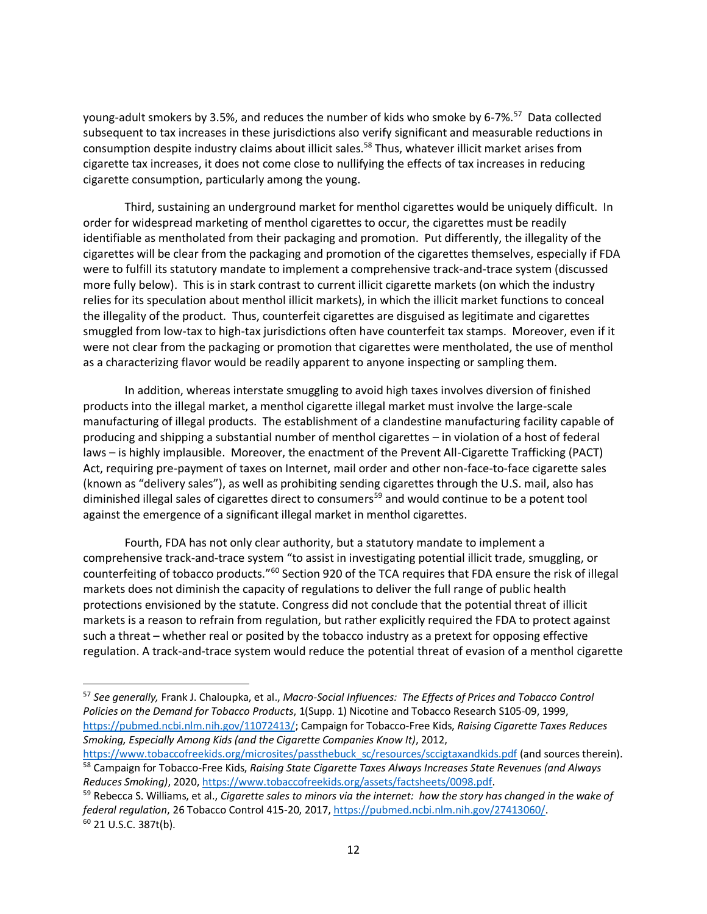young-adult smokers by 3.5%, and reduces the number of kids who smoke by 6-7%.<sup>57</sup> Data collected subsequent to tax increases in these jurisdictions also verify significant and measurable reductions in consumption despite industry claims about illicit sales.<sup>58</sup> Thus, whatever illicit market arises from cigarette tax increases, it does not come close to nullifying the effects of tax increases in reducing cigarette consumption, particularly among the young.

Third, sustaining an underground market for menthol cigarettes would be uniquely difficult. In order for widespread marketing of menthol cigarettes to occur, the cigarettes must be readily identifiable as mentholated from their packaging and promotion. Put differently, the illegality of the cigarettes will be clear from the packaging and promotion of the cigarettes themselves, especially if FDA were to fulfill its statutory mandate to implement a comprehensive track-and-trace system (discussed more fully below). This is in stark contrast to current illicit cigarette markets (on which the industry relies for its speculation about menthol illicit markets), in which the illicit market functions to conceal the illegality of the product. Thus, counterfeit cigarettes are disguised as legitimate and cigarettes smuggled from low-tax to high-tax jurisdictions often have counterfeit tax stamps. Moreover, even if it were not clear from the packaging or promotion that cigarettes were mentholated, the use of menthol as a characterizing flavor would be readily apparent to anyone inspecting or sampling them.

In addition, whereas interstate smuggling to avoid high taxes involves diversion of finished products into the illegal market, a menthol cigarette illegal market must involve the large-scale manufacturing of illegal products. The establishment of a clandestine manufacturing facility capable of producing and shipping a substantial number of menthol cigarettes – in violation of a host of federal laws – is highly implausible. Moreover, the enactment of the Prevent All-Cigarette Trafficking (PACT) Act, requiring pre-payment of taxes on Internet, mail order and other non-face-to-face cigarette sales (known as "delivery sales"), as well as prohibiting sending cigarettes through the U.S. mail, also has diminished illegal sales of cigarettes direct to consumers<sup>59</sup> and would continue to be a potent tool against the emergence of a significant illegal market in menthol cigarettes.

Fourth, FDA has not only clear authority, but a statutory mandate to implement a comprehensive track-and-trace system "to assist in investigating potential illicit trade, smuggling, or counterfeiting of tobacco products."<sup>60</sup> Section 920 of the TCA requires that FDA ensure the risk of illegal markets does not diminish the capacity of regulations to deliver the full range of public health protections envisioned by the statute. Congress did not conclude that the potential threat of illicit markets is a reason to refrain from regulation, but rather explicitly required the FDA to protect against such a threat – whether real or posited by the tobacco industry as a pretext for opposing effective regulation. A track-and-trace system would reduce the potential threat of evasion of a menthol cigarette

<sup>57</sup> *See generally,* Frank J. Chaloupka, et al., *Macro-Social Influences: The Effects of Prices and Tobacco Control Policies on the Demand for Tobacco Products*, 1(Supp. 1) Nicotine and Tobacco Research S105-09, 1999, [https://pubmed.ncbi.nlm.nih.gov/11072413/;](https://pubmed.ncbi.nlm.nih.gov/11072413/) Campaign for Tobacco-Free Kids, *Raising Cigarette Taxes Reduces Smoking, Especially Among Kids (and the Cigarette Companies Know It)*, 2012,

[https://www.tobaccofreekids.org/microsites/passthebuck\\_sc/resources/sccigtaxandkids.pdf](https://www.tobaccofreekids.org/microsites/passthebuck_sc/resources/sccigtaxandkids.pdf) (and sources therein). <sup>58</sup> Campaign for Tobacco-Free Kids, *Raising State Cigarette Taxes Always Increases State Revenues (and Always Reduces Smoking)*, 2020, [https://www.tobaccofreekids.org/assets/factsheets/0098.pdf.](https://www.tobaccofreekids.org/assets/factsheets/0098.pdf)

<sup>59</sup> Rebecca S. Williams, et al., *Cigarette sales to minors via the internet: how the story has changed in the wake of federal regulation*, 26 Tobacco Control 415-20, 2017, [https://pubmed.ncbi.nlm.nih.gov/27413060/.](https://pubmed.ncbi.nlm.nih.gov/27413060/) <sup>60</sup> 21 U.S.C. 387t(b).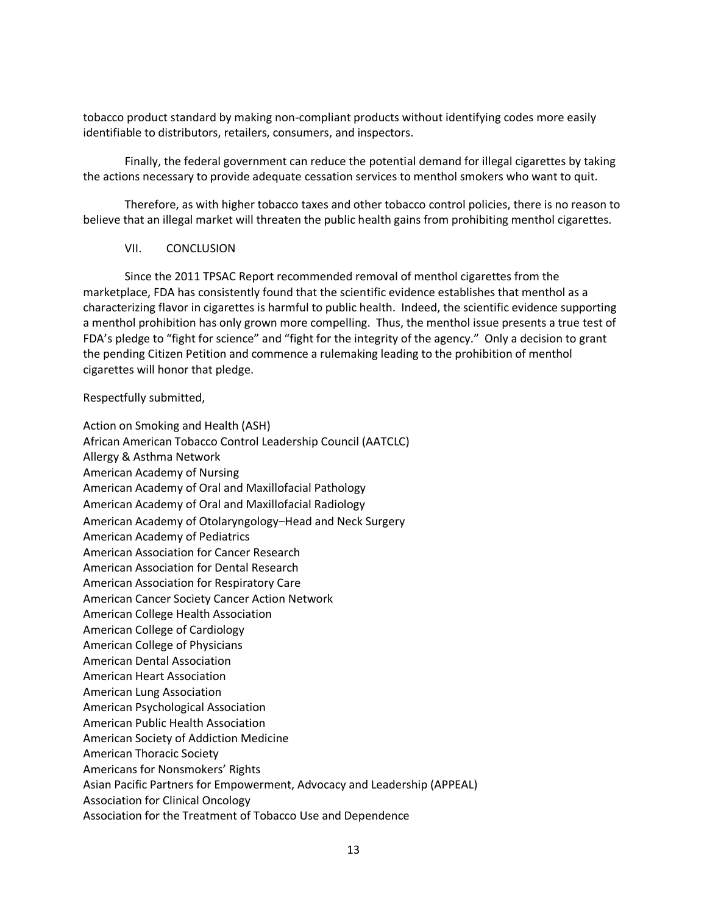tobacco product standard by making non-compliant products without identifying codes more easily identifiable to distributors, retailers, consumers, and inspectors.

Finally, the federal government can reduce the potential demand for illegal cigarettes by taking the actions necessary to provide adequate cessation services to menthol smokers who want to quit.

Therefore, as with higher tobacco taxes and other tobacco control policies, there is no reason to believe that an illegal market will threaten the public health gains from prohibiting menthol cigarettes.

#### VII. CONCLUSION

Since the 2011 TPSAC Report recommended removal of menthol cigarettes from the marketplace, FDA has consistently found that the scientific evidence establishes that menthol as a characterizing flavor in cigarettes is harmful to public health. Indeed, the scientific evidence supporting a menthol prohibition has only grown more compelling. Thus, the menthol issue presents a true test of FDA's pledge to "fight for science" and "fight for the integrity of the agency." Only a decision to grant the pending Citizen Petition and commence a rulemaking leading to the prohibition of menthol cigarettes will honor that pledge.

#### Respectfully submitted,

Action on Smoking and Health (ASH) African American Tobacco Control Leadership Council (AATCLC) Allergy & Asthma Network American Academy of Nursing American Academy of Oral and Maxillofacial Pathology American Academy of Oral and Maxillofacial Radiology American Academy of Otolaryngology–Head and Neck Surgery American Academy of Pediatrics American Association for Cancer Research American Association for Dental Research American Association for Respiratory Care American Cancer Society Cancer Action Network American College Health Association American College of Cardiology American College of Physicians American Dental Association American Heart Association American Lung Association American Psychological Association American Public Health Association American Society of Addiction Medicine American Thoracic Society Americans for Nonsmokers' Rights Asian Pacific Partners for Empowerment, Advocacy and Leadership (APPEAL) Association for Clinical Oncology Association for the Treatment of Tobacco Use and Dependence